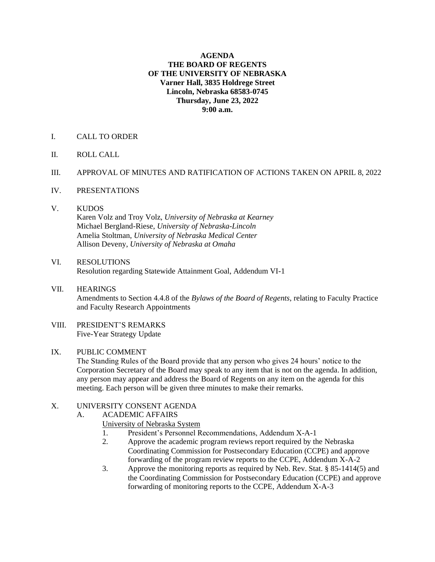#### **AGENDA THE BOARD OF REGENTS OF THE UNIVERSITY OF NEBRASKA Varner Hall, 3835 Holdrege Street Lincoln, Nebraska 68583-0745 Thursday, June 23, 2022 9:00 a.m.**

## I. CALL TO ORDER

II. ROLL CALL

#### III. APPROVAL OF MINUTES AND RATIFICATION OF ACTIONS TAKEN ON APRIL 8, 2022

- IV. PRESENTATIONS
- V. KUDOS

Karen Volz and Troy Volz, *University of Nebraska at Kearney* Michael Bergland-Riese, *University of Nebraska-Lincoln* Amelia Stoltman, *University of Nebraska Medical Center* Allison Deveny, *University of Nebraska at Omaha*

#### VI. RESOLUTIONS Resolution regarding Statewide Attainment Goal, Addendum VI-1

- VII. HEARINGS Amendments to Section 4.4.8 of the *Bylaws of the Board of Regents*, relating to Faculty Practice and Faculty Research Appointments
- VIII. PRESIDENT'S REMARKS Five-Year Strategy Update

## IX. PUBLIC COMMENT

The Standing Rules of the Board provide that any person who gives 24 hours' notice to the Corporation Secretary of the Board may speak to any item that is not on the agenda. In addition, any person may appear and address the Board of Regents on any item on the agenda for this meeting. Each person will be given three minutes to make their remarks.

## X. UNIVERSITY CONSENT AGENDA

A. ACADEMIC AFFAIRS

University of Nebraska System

- 1. President's Personnel Recommendations, Addendum X-A-1
- 2. Approve the academic program reviews report required by the Nebraska Coordinating Commission for Postsecondary Education (CCPE) and approve forwarding of the program review reports to the CCPE, Addendum X-A-2
- 3. Approve the monitoring reports as required by Neb. Rev. Stat. § 85-1414(5) and the Coordinating Commission for Postsecondary Education (CCPE) and approve forwarding of monitoring reports to the CCPE, Addendum X-A-3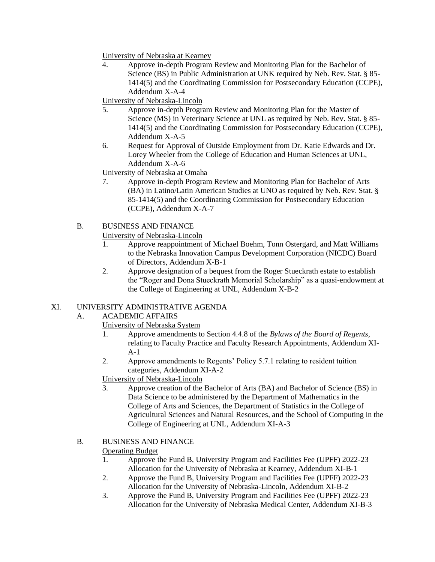University of Nebraska at Kearney

4. Approve in-depth Program Review and Monitoring Plan for the Bachelor of Science (BS) in Public Administration at UNK required by Neb. Rev. Stat. § 85- 1414(5) and the Coordinating Commission for Postsecondary Education (CCPE), Addendum X-A-4

University of Nebraska-Lincoln

- 5. Approve in-depth Program Review and Monitoring Plan for the Master of Science (MS) in Veterinary Science at UNL as required by Neb. Rev. Stat. § 85- 1414(5) and the Coordinating Commission for Postsecondary Education (CCPE), Addendum X-A-5
- 6. Request for Approval of Outside Employment from Dr. Katie Edwards and Dr. Lorey Wheeler from the College of Education and Human Sciences at UNL, Addendum X-A-6

University of Nebraska at Omaha

- 7. Approve in-depth Program Review and Monitoring Plan for Bachelor of Arts (BA) in Latino/Latin American Studies at UNO as required by Neb. Rev. Stat. § 85-1414(5) and the Coordinating Commission for Postsecondary Education (CCPE), Addendum X-A-7
- B. BUSINESS AND FINANCE

University of Nebraska-Lincoln

- 1. Approve reappointment of Michael Boehm, Tonn Ostergard, and Matt Williams to the Nebraska Innovation Campus Development Corporation (NICDC) Board of Directors, Addendum X-B-1
- 2. Approve designation of a bequest from the Roger Stueckrath estate to establish the "Roger and Dona Stueckrath Memorial Scholarship" as a quasi-endowment at the College of Engineering at UNL, Addendum X-B-2

# XI. UNIVERSITY ADMINISTRATIVE AGENDA

- A. ACADEMIC AFFAIRS
	- University of Nebraska System
		- 1. Approve amendments to Section 4.4.8 of the *Bylaws of the Board of Regents*, relating to Faculty Practice and Faculty Research Appointments, Addendum XI-A-1
		- 2. Approve amendments to Regents' Policy 5.7.1 relating to resident tuition categories, Addendum XI-A-2

University of Nebraska-Lincoln

3. Approve creation of the Bachelor of Arts (BA) and Bachelor of Science (BS) in Data Science to be administered by the Department of Mathematics in the College of Arts and Sciences, the Department of Statistics in the College of Agricultural Sciences and Natural Resources, and the School of Computing in the College of Engineering at UNL, Addendum XI-A-3

# B. BUSINESS AND FINANCE

# Operating Budget

- 1. Approve the Fund B, University Program and Facilities Fee (UPFF) 2022-23 Allocation for the University of Nebraska at Kearney, Addendum XI-B-1
- 2. Approve the Fund B, University Program and Facilities Fee (UPFF) 2022-23 Allocation for the University of Nebraska-Lincoln, Addendum XI-B-2
- 3. Approve the Fund B, University Program and Facilities Fee (UPFF) 2022-23 Allocation for the University of Nebraska Medical Center, Addendum XI-B-3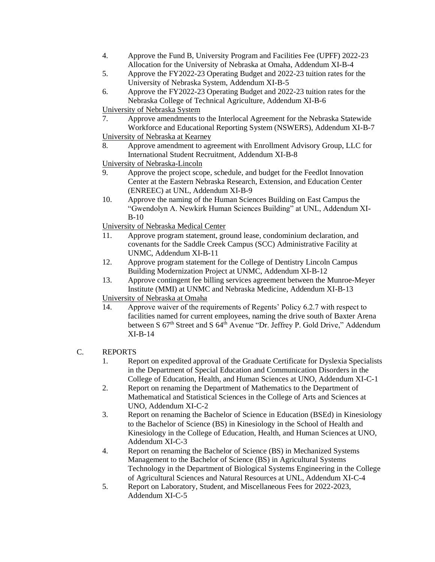- 4. Approve the Fund B, University Program and Facilities Fee (UPFF) 2022-23 Allocation for the University of Nebraska at Omaha, Addendum XI-B-4
- 5. Approve the FY2022-23 Operating Budget and 2022-23 tuition rates for the University of Nebraska System, Addendum XI-B-5
- 6. Approve the FY2022-23 Operating Budget and 2022-23 tuition rates for the Nebraska College of Technical Agriculture, Addendum XI-B-6

University of Nebraska System

- 7. Approve amendments to the Interlocal Agreement for the Nebraska Statewide Workforce and Educational Reporting System (NSWERS), Addendum XI-B-7 University of Nebraska at Kearney
- 8. Approve amendment to agreement with Enrollment Advisory Group, LLC for International Student Recruitment, Addendum XI-B-8
- University of Nebraska-Lincoln
- 9. Approve the project scope, schedule, and budget for the Feedlot Innovation Center at the Eastern Nebraska Research, Extension, and Education Center (ENREEC) at UNL, Addendum XI-B-9
- 10. Approve the naming of the Human Sciences Building on East Campus the "Gwendolyn A. Newkirk Human Sciences Building" at UNL, Addendum XI-B-10

University of Nebraska Medical Center

- 11. Approve program statement, ground lease, condominium declaration, and covenants for the Saddle Creek Campus (SCC) Administrative Facility at UNMC, Addendum XI-B-11
- 12. Approve program statement for the College of Dentistry Lincoln Campus Building Modernization Project at UNMC, Addendum XI-B-12
- 13. Approve contingent fee billing services agreement between the Munroe-Meyer Institute (MMI) at UNMC and Nebraska Medicine, Addendum XI-B-13 University of Nebraska at Omaha
- 14. Approve waiver of the requirements of Regents' Policy 6.2.7 with respect to facilities named for current employees, naming the drive south of Baxter Arena between S 67<sup>th</sup> Street and S 64<sup>th</sup> Avenue "Dr. Jeffrey P. Gold Drive," Addendum XI-B-14

# C. REPORTS

- 1. Report on expedited approval of the Graduate Certificate for Dyslexia Specialists in the Department of Special Education and Communication Disorders in the College of Education, Health, and Human Sciences at UNO, Addendum XI-C-1
- 2. Report on renaming the Department of Mathematics to the Department of Mathematical and Statistical Sciences in the College of Arts and Sciences at UNO, Addendum XI-C-2
- 3. Report on renaming the Bachelor of Science in Education (BSEd) in Kinesiology to the Bachelor of Science (BS) in Kinesiology in the School of Health and Kinesiology in the College of Education, Health, and Human Sciences at UNO, Addendum XI-C-3
- 4. Report on renaming the Bachelor of Science (BS) in Mechanized Systems Management to the Bachelor of Science (BS) in Agricultural Systems Technology in the Department of Biological Systems Engineering in the College of Agricultural Sciences and Natural Resources at UNL, Addendum XI-C-4
- 5. Report on Laboratory, Student, and Miscellaneous Fees for 2022-2023, Addendum XI-C-5